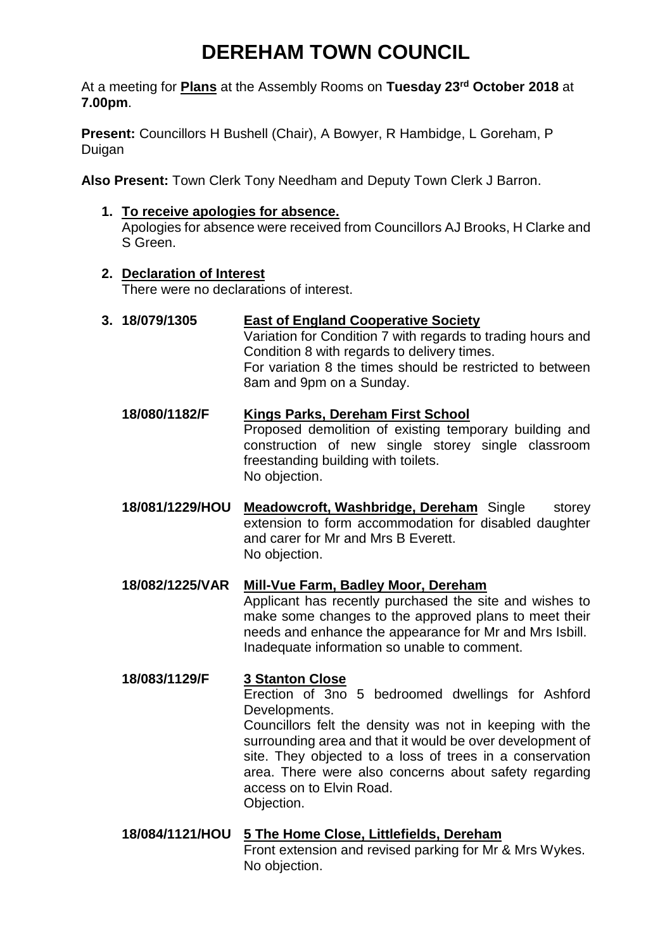# **DEREHAM TOWN COUNCIL**

At a meeting for **Plans** at the Assembly Rooms on **Tuesday 23rd October 2018** at **7.00pm**.

**Present:** Councillors H Bushell (Chair), A Bowyer, R Hambidge, L Goreham, P Duigan

**Also Present:** Town Clerk Tony Needham and Deputy Town Clerk J Barron.

**1. To receive apologies for absence.** 

Apologies for absence were received from Councillors AJ Brooks, H Clarke and S Green.

### **2. Declaration of Interest**

There were no declarations of interest.

## **3. 18/079/1305 East of England Cooperative Society**

Variation for Condition 7 with regards to trading hours and Condition 8 with regards to delivery times. For variation 8 the times should be restricted to between 8am and 9pm on a Sunday.

- **18/080/1182/F Kings Parks, Dereham First School** Proposed demolition of existing temporary building and construction of new single storey single classroom freestanding building with toilets. No objection.
- **18/081/1229/HOU Meadowcroft, Washbridge, Dereham** Single storey extension to form accommodation for disabled daughter and carer for Mr and Mrs B Everett. No objection.
- **18/082/1225/VAR Mill-Vue Farm, Badley Moor, Dereham** Applicant has recently purchased the site and wishes to make some changes to the approved plans to meet their needs and enhance the appearance for Mr and Mrs Isbill. Inadequate information so unable to comment.

# **18/083/1129/F 3 Stanton Close** Erection of 3no 5 bedroomed dwellings for Ashford Developments. Councillors felt the density was not in keeping with the surrounding area and that it would be over development of site. They objected to a loss of trees in a conservation

area. There were also concerns about safety regarding access on to Elvin Road. Objection.

**18/084/1121/HOU 5 The Home Close, Littlefields, Dereham** Front extension and revised parking for Mr & Mrs Wykes. No objection.